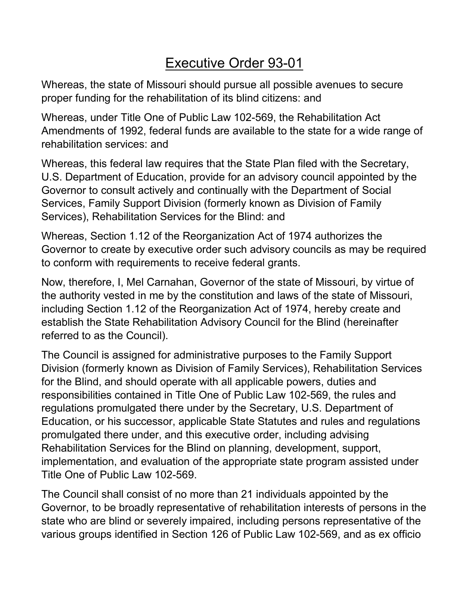# Executive Order 93-01

Whereas, the state of Missouri should pursue all possible avenues to secure proper funding for the rehabilitation of its blind citizens: and

Whereas, under Title One of Public Law 102-569, the Rehabilitation Act Amendments of 1992, federal funds are available to the state for a wide range of rehabilitation services: and

Whereas, this federal law requires that the State Plan filed with the Secretary, U.S. Department of Education, provide for an advisory council appointed by the Governor to consult actively and continually with the Department of Social Services, Family Support Division (formerly known as Division of Family Services), Rehabilitation Services for the Blind: and

Whereas, Section 1.12 of the Reorganization Act of 1974 authorizes the Governor to create by executive order such advisory councils as may be required to conform with requirements to receive federal grants.

Now, therefore, I, Mel Carnahan, Governor of the state of Missouri, by virtue of the authority vested in me by the constitution and laws of the state of Missouri, including Section 1.12 of the Reorganization Act of 1974, hereby create and establish the State Rehabilitation Advisory Council for the Blind (hereinafter referred to as the Council).

The Council is assigned for administrative purposes to the Family Support Division (formerly known as Division of Family Services), Rehabilitation Services for the Blind, and should operate with all applicable powers, duties and responsibilities contained in Title One of Public Law 102-569, the rules and regulations promulgated there under by the Secretary, U.S. Department of Education, or his successor, applicable State Statutes and rules and regulations promulgated there under, and this executive order, including advising Rehabilitation Services for the Blind on planning, development, support, implementation, and evaluation of the appropriate state program assisted under Title One of Public Law 102-569.

The Council shall consist of no more than 21 individuals appointed by the Governor, to be broadly representative of rehabilitation interests of persons in the state who are blind or severely impaired, including persons representative of the various groups identified in Section 126 of Public Law 102-569, and as ex officio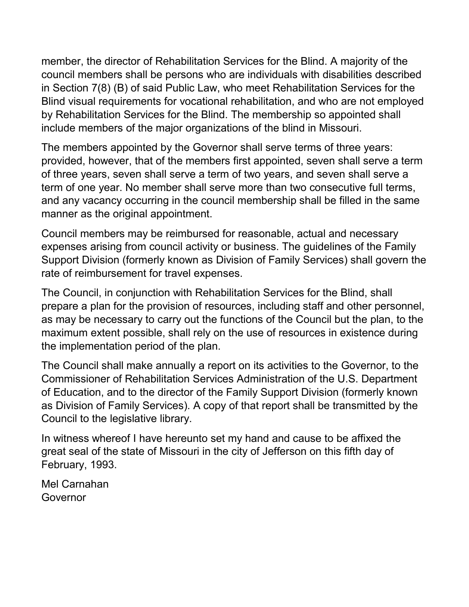member, the director of Rehabilitation Services for the Blind. A majority of the council members shall be persons who are individuals with disabilities described in Section 7(8) (B) of said Public Law, who meet Rehabilitation Services for the Blind visual requirements for vocational rehabilitation, and who are not employed by Rehabilitation Services for the Blind. The membership so appointed shall include members of the major organizations of the blind in Missouri.

The members appointed by the Governor shall serve terms of three years: provided, however, that of the members first appointed, seven shall serve a term of three years, seven shall serve a term of two years, and seven shall serve a term of one year. No member shall serve more than two consecutive full terms, and any vacancy occurring in the council membership shall be filled in the same manner as the original appointment.

Council members may be reimbursed for reasonable, actual and necessary expenses arising from council activity or business. The guidelines of the Family Support Division (formerly known as Division of Family Services) shall govern the rate of reimbursement for travel expenses.

The Council, in conjunction with Rehabilitation Services for the Blind, shall prepare a plan for the provision of resources, including staff and other personnel, as may be necessary to carry out the functions of the Council but the plan, to the maximum extent possible, shall rely on the use of resources in existence during the implementation period of the plan.

The Council shall make annually a report on its activities to the Governor, to the Commissioner of Rehabilitation Services Administration of the U.S. Department of Education, and to the director of the Family Support Division (formerly known as Division of Family Services). A copy of that report shall be transmitted by the Council to the legislative library.

In witness whereof I have hereunto set my hand and cause to be affixed the great seal of the state of Missouri in the city of Jefferson on this fifth day of February, 1993.

Mel Carnahan Governor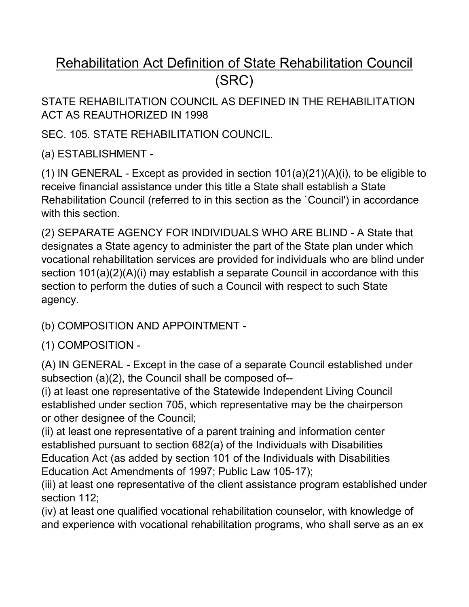# Rehabilitation Act Definition of State Rehabilitation Council (SRC)

STATE REHABILITATION COUNCIL AS DEFINED IN THE REHABILITATION ACT AS REAUTHORIZED IN 1998

SEC. 105. STATE REHABILITATION COUNCIL.

(a) ESTABLISHMENT -

(1) IN GENERAL - Except as provided in section 101(a)(21)(A)(i), to be eligible to receive financial assistance under this title a State shall establish a State Rehabilitation Council (referred to in this section as the `Council') in accordance with this section.

(2) SEPARATE AGENCY FOR INDIVIDUALS WHO ARE BLIND - A State that designates a State agency to administer the part of the State plan under which vocational rehabilitation services are provided for individuals who are blind under section 101(a)(2)(A)(i) may establish a separate Council in accordance with this section to perform the duties of such a Council with respect to such State agency.

(b) COMPOSITION AND APPOINTMENT -

(1) COMPOSITION -

(A) IN GENERAL - Except in the case of a separate Council established under subsection (a)(2), the Council shall be composed of--

(i) at least one representative of the Statewide Independent Living Council established under section 705, which representative may be the chairperson or other designee of the Council;

(ii) at least one representative of a parent training and information center established pursuant to section 682(a) of the Individuals with Disabilities Education Act (as added by section 101 of the Individuals with Disabilities Education Act Amendments of 1997; Public Law 105-17);

(iii) at least one representative of the client assistance program established under section 112;

(iv) at least one qualified vocational rehabilitation counselor, with knowledge of and experience with vocational rehabilitation programs, who shall serve as an ex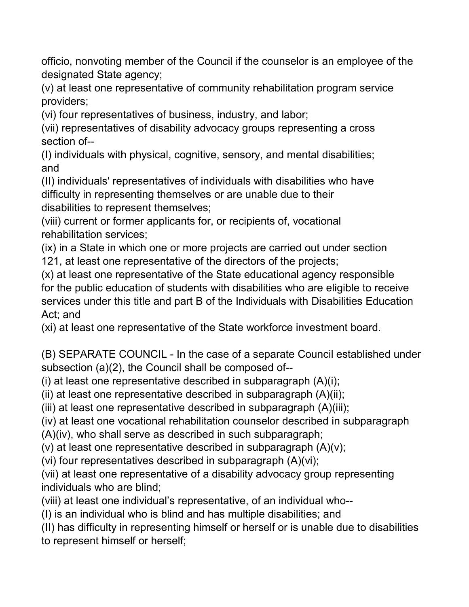officio, nonvoting member of the Council if the counselor is an employee of the designated State agency;

(v) at least one representative of community rehabilitation program service providers;

(vi) four representatives of business, industry, and labor;

(vii) representatives of disability advocacy groups representing a cross section of--

(I) individuals with physical, cognitive, sensory, and mental disabilities; and

(II) individuals' representatives of individuals with disabilities who have difficulty in representing themselves or are unable due to their disabilities to represent themselves;

(viii) current or former applicants for, or recipients of, vocational rehabilitation services;

(ix) in a State in which one or more projects are carried out under section 121, at least one representative of the directors of the projects;

(x) at least one representative of the State educational agency responsible for the public education of students with disabilities who are eligible to receive services under this title and part B of the Individuals with Disabilities Education Act; and

(xi) at least one representative of the State workforce investment board.

(B) SEPARATE COUNCIL - In the case of a separate Council established under subsection (a)(2), the Council shall be composed of--

(i) at least one representative described in subparagraph  $(A)(i)$ ;

(ii) at least one representative described in subparagraph (A)(ii);

(iii) at least one representative described in subparagraph (A)(iii);

(iv) at least one vocational rehabilitation counselor described in subparagraph

(A)(iv), who shall serve as described in such subparagraph;

(v) at least one representative described in subparagraph  $(A)(v)$ ;

(vi) four representatives described in subparagraph (A)(vi);

(vii) at least one representative of a disability advocacy group representing individuals who are blind;

(viii) at least one individual's representative, of an individual who--

(I) is an individual who is blind and has multiple disabilities; and

(II) has difficulty in representing himself or herself or is unable due to disabilities to represent himself or herself;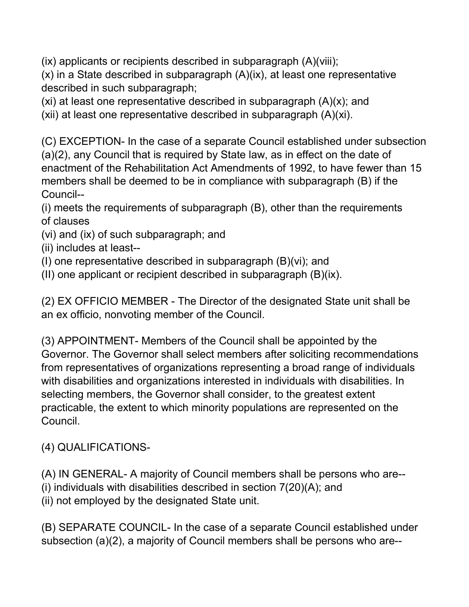(ix) applicants or recipients described in subparagraph (A)(viii);

(x) in a State described in subparagraph (A)(ix), at least one representative described in such subparagraph;

(xi) at least one representative described in subparagraph  $(A)(x)$ ; and

(xii) at least one representative described in subparagraph (A)(xi).

(C) EXCEPTION- In the case of a separate Council established under subsection (a)(2), any Council that is required by State law, as in effect on the date of enactment of the Rehabilitation Act Amendments of 1992, to have fewer than 15 members shall be deemed to be in compliance with subparagraph (B) if the Council--

(i) meets the requirements of subparagraph (B), other than the requirements of clauses

- (vi) and (ix) of such subparagraph; and
- (ii) includes at least--
- (I) one representative described in subparagraph (B)(vi); and
- (II) one applicant or recipient described in subparagraph (B)(ix).

(2) EX OFFICIO MEMBER - The Director of the designated State unit shall be an ex officio, nonvoting member of the Council.

(3) APPOINTMENT- Members of the Council shall be appointed by the Governor. The Governor shall select members after soliciting recommendations from representatives of organizations representing a broad range of individuals with disabilities and organizations interested in individuals with disabilities. In selecting members, the Governor shall consider, to the greatest extent practicable, the extent to which minority populations are represented on the Council.

### (4) QUALIFICATIONS-

(A) IN GENERAL- A majority of Council members shall be persons who are--

- (i) individuals with disabilities described in section 7(20)(A); and
- (ii) not employed by the designated State unit.

(B) SEPARATE COUNCIL- In the case of a separate Council established under subsection (a)(2), a majority of Council members shall be persons who are--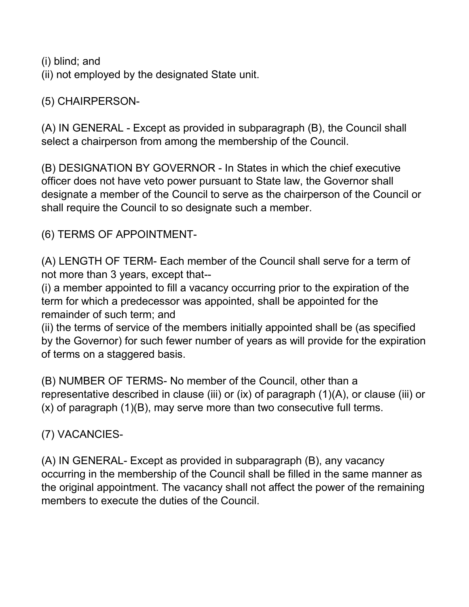(i) blind; and

(ii) not employed by the designated State unit.

(5) CHAIRPERSON-

(A) IN GENERAL - Except as provided in subparagraph (B), the Council shall select a chairperson from among the membership of the Council.

(B) DESIGNATION BY GOVERNOR - In States in which the chief executive officer does not have veto power pursuant to State law, the Governor shall designate a member of the Council to serve as the chairperson of the Council or shall require the Council to so designate such a member.

(6) TERMS OF APPOINTMENT-

(A) LENGTH OF TERM- Each member of the Council shall serve for a term of not more than 3 years, except that--

(i) a member appointed to fill a vacancy occurring prior to the expiration of the term for which a predecessor was appointed, shall be appointed for the remainder of such term; and

(ii) the terms of service of the members initially appointed shall be (as specified by the Governor) for such fewer number of years as will provide for the expiration of terms on a staggered basis.

(B) NUMBER OF TERMS- No member of the Council, other than a representative described in clause (iii) or (ix) of paragraph (1)(A), or clause (iii) or (x) of paragraph (1)(B), may serve more than two consecutive full terms.

(7) VACANCIES-

(A) IN GENERAL- Except as provided in subparagraph (B), any vacancy occurring in the membership of the Council shall be filled in the same manner as the original appointment. The vacancy shall not affect the power of the remaining members to execute the duties of the Council.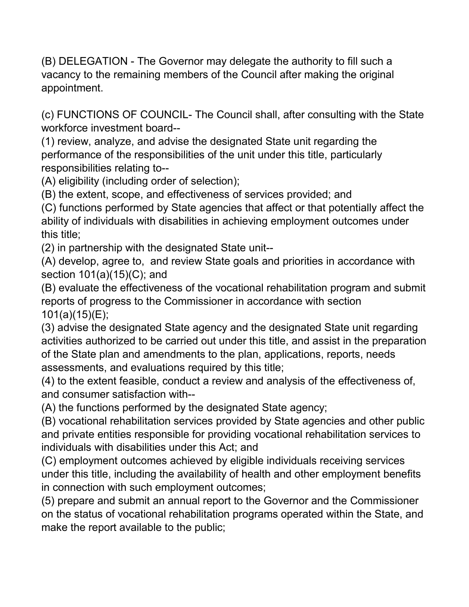(B) DELEGATION - The Governor may delegate the authority to fill such a vacancy to the remaining members of the Council after making the original appointment.

(c) FUNCTIONS OF COUNCIL- The Council shall, after consulting with the State workforce investment board--

(1) review, analyze, and advise the designated State unit regarding the performance of the responsibilities of the unit under this title, particularly responsibilities relating to--

(A) eligibility (including order of selection);

(B) the extent, scope, and effectiveness of services provided; and

(C) functions performed by State agencies that affect or that potentially affect the ability of individuals with disabilities in achieving employment outcomes under this title;

(2) in partnership with the designated State unit--

(A) develop, agree to, and review State goals and priorities in accordance with section 101(a)(15)(C); and

(B) evaluate the effectiveness of the vocational rehabilitation program and submit reports of progress to the Commissioner in accordance with section 101(a)(15)(E);

(3) advise the designated State agency and the designated State unit regarding activities authorized to be carried out under this title, and assist in the preparation of the State plan and amendments to the plan, applications, reports, needs assessments, and evaluations required by this title;

(4) to the extent feasible, conduct a review and analysis of the effectiveness of, and consumer satisfaction with--

(A) the functions performed by the designated State agency;

(B) vocational rehabilitation services provided by State agencies and other public and private entities responsible for providing vocational rehabilitation services to individuals with disabilities under this Act; and

(C) employment outcomes achieved by eligible individuals receiving services under this title, including the availability of health and other employment benefits in connection with such employment outcomes;

(5) prepare and submit an annual report to the Governor and the Commissioner on the status of vocational rehabilitation programs operated within the State, and make the report available to the public;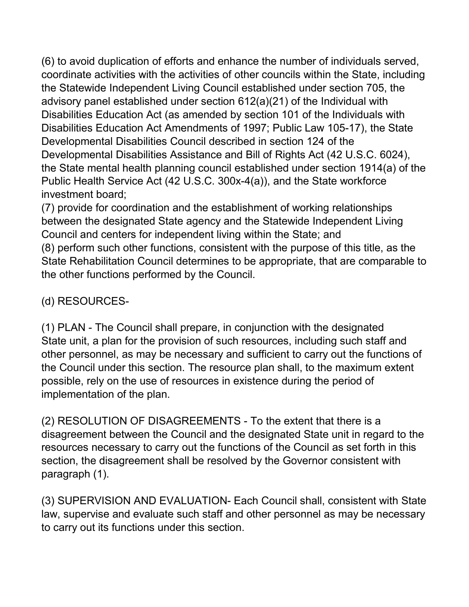(6) to avoid duplication of efforts and enhance the number of individuals served, coordinate activities with the activities of other councils within the State, including the Statewide Independent Living Council established under section 705, the advisory panel established under section 612(a)(21) of the Individual with Disabilities Education Act (as amended by section 101 of the Individuals with Disabilities Education Act Amendments of 1997; Public Law 105-17), the State Developmental Disabilities Council described in section 124 of the Developmental Disabilities Assistance and Bill of Rights Act (42 U.S.C. 6024), the State mental health planning council established under section 1914(a) of the Public Health Service Act (42 U.S.C. 300x-4(a)), and the State workforce investment board;

(7) provide for coordination and the establishment of working relationships between the designated State agency and the Statewide Independent Living Council and centers for independent living within the State; and (8) perform such other functions, consistent with the purpose of this title, as the State Rehabilitation Council determines to be appropriate, that are comparable to

## (d) RESOURCES-

the other functions performed by the Council.

(1) PLAN - The Council shall prepare, in conjunction with the designated State unit, a plan for the provision of such resources, including such staff and other personnel, as may be necessary and sufficient to carry out the functions of the Council under this section. The resource plan shall, to the maximum extent possible, rely on the use of resources in existence during the period of implementation of the plan.

(2) RESOLUTION OF DISAGREEMENTS - To the extent that there is a disagreement between the Council and the designated State unit in regard to the resources necessary to carry out the functions of the Council as set forth in this section, the disagreement shall be resolved by the Governor consistent with paragraph (1).

(3) SUPERVISION AND EVALUATION- Each Council shall, consistent with State law, supervise and evaluate such staff and other personnel as may be necessary to carry out its functions under this section.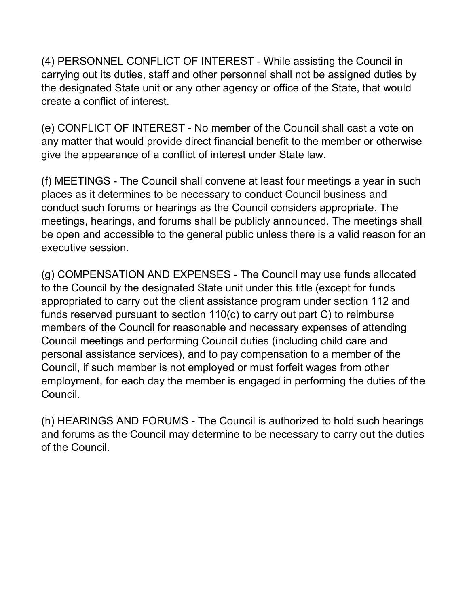(4) PERSONNEL CONFLICT OF INTEREST - While assisting the Council in carrying out its duties, staff and other personnel shall not be assigned duties by the designated State unit or any other agency or office of the State, that would create a conflict of interest.

(e) CONFLICT OF INTEREST - No member of the Council shall cast a vote on any matter that would provide direct financial benefit to the member or otherwise give the appearance of a conflict of interest under State law.

(f) MEETINGS - The Council shall convene at least four meetings a year in such places as it determines to be necessary to conduct Council business and conduct such forums or hearings as the Council considers appropriate. The meetings, hearings, and forums shall be publicly announced. The meetings shall be open and accessible to the general public unless there is a valid reason for an executive session.

(g) COMPENSATION AND EXPENSES - The Council may use funds allocated to the Council by the designated State unit under this title (except for funds appropriated to carry out the client assistance program under section 112 and funds reserved pursuant to section 110(c) to carry out part C) to reimburse members of the Council for reasonable and necessary expenses of attending Council meetings and performing Council duties (including child care and personal assistance services), and to pay compensation to a member of the Council, if such member is not employed or must forfeit wages from other employment, for each day the member is engaged in performing the duties of the Council.

(h) HEARINGS AND FORUMS - The Council is authorized to hold such hearings and forums as the Council may determine to be necessary to carry out the duties of the Council.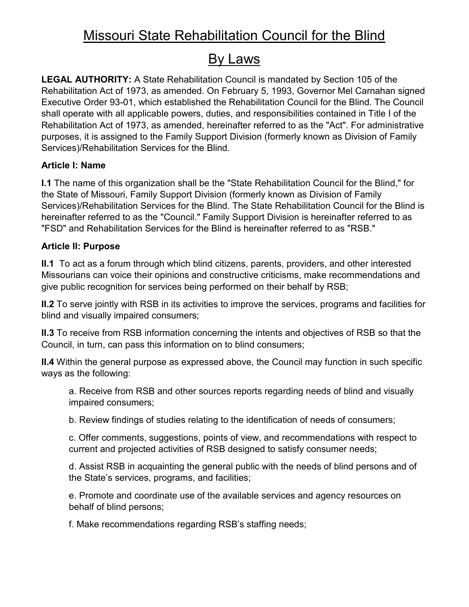## By Laws

**LEGAL AUTHORITY:** A State Rehabilitation Council is mandated by Section 105 of the Rehabilitation Act of 1973, as amended. On February 5, 1993, Governor Mel Carnahan signed Executive Order 93-01, which established the Rehabilitation Council for the Blind. The Council shall operate with all applicable powers, duties, and responsibilities contained in Title I of the Rehabilitation Act of 1973, as amended, hereinafter referred to as the "Act". For administrative purposes, it is assigned to the Family Support Division (formerly known as Division of Family Services)/Rehabilitation Services for the Blind.

### **Article I: Name**

**I.1** The name of this organization shall be the "State Rehabilitation Council for the Blind," for the State of Missouri, Family Support Division (formerly known as Division of Family Services)/Rehabilitation Services for the Blind. The State Rehabilitation Council for the Blind is hereinafter referred to as the "Council." Family Support Division is hereinafter referred to as "FSD" and Rehabilitation Services for the Blind is hereinafter referred to as "RSB."

### **Article II: Purpose**

**II.1** To act as a forum through which blind citizens, parents, providers, and other interested Missourians can voice their opinions and constructive criticisms, make recommendations and give public recognition for services being performed on their behalf by RSB;

**II.2** To serve jointly with RSB in its activities to improve the services, programs and facilities for blind and visually impaired consumers;

**II.3** To receive from RSB information concerning the intents and objectives of RSB so that the Council, in turn, can pass this information on to blind consumers;

**II.4** Within the general purpose as expressed above, the Council may function in such specific ways as the following:

a. Receive from RSB and other sources reports regarding needs of blind and visually impaired consumers;

b. Review findings of studies relating to the identification of needs of consumers;

c. Offer comments, suggestions, points of view, and recommendations with respect to current and projected activities of RSB designed to satisfy consumer needs;

d. Assist RSB in acquainting the general public with the needs of blind persons and of the State's services, programs, and facilities;

e. Promote and coordinate use of the available services and agency resources on behalf of blind persons;

f. Make recommendations regarding RSB's staffing needs;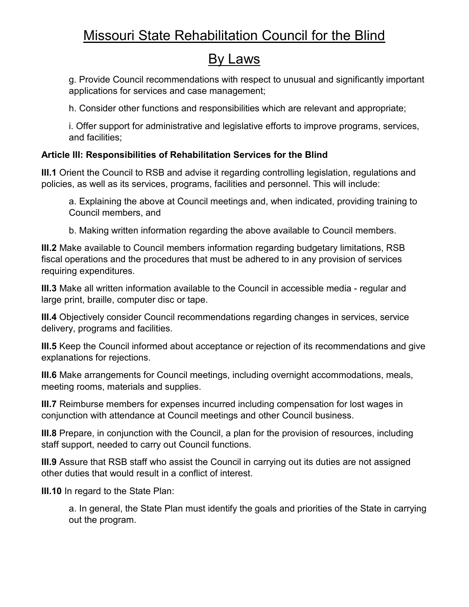## By Laws

g. Provide Council recommendations with respect to unusual and significantly important applications for services and case management;

h. Consider other functions and responsibilities which are relevant and appropriate;

i. Offer support for administrative and legislative efforts to improve programs, services, and facilities;

### **Article III: Responsibilities of Rehabilitation Services for the Blind**

**III.1** Orient the Council to RSB and advise it regarding controlling legislation, regulations and policies, as well as its services, programs, facilities and personnel. This will include:

a. Explaining the above at Council meetings and, when indicated, providing training to Council members, and

b. Making written information regarding the above available to Council members.

**III.2** Make available to Council members information regarding budgetary limitations, RSB fiscal operations and the procedures that must be adhered to in any provision of services requiring expenditures.

**III.3** Make all written information available to the Council in accessible media - regular and large print, braille, computer disc or tape.

**III.4** Objectively consider Council recommendations regarding changes in services, service delivery, programs and facilities.

**III.5** Keep the Council informed about acceptance or rejection of its recommendations and give explanations for rejections.

**III.6** Make arrangements for Council meetings, including overnight accommodations, meals, meeting rooms, materials and supplies.

**III.7** Reimburse members for expenses incurred including compensation for lost wages in conjunction with attendance at Council meetings and other Council business.

**III.8** Prepare, in conjunction with the Council, a plan for the provision of resources, including staff support, needed to carry out Council functions.

**III.9** Assure that RSB staff who assist the Council in carrying out its duties are not assigned other duties that would result in a conflict of interest.

**III.10** In regard to the State Plan:

a. In general, the State Plan must identify the goals and priorities of the State in carrying out the program.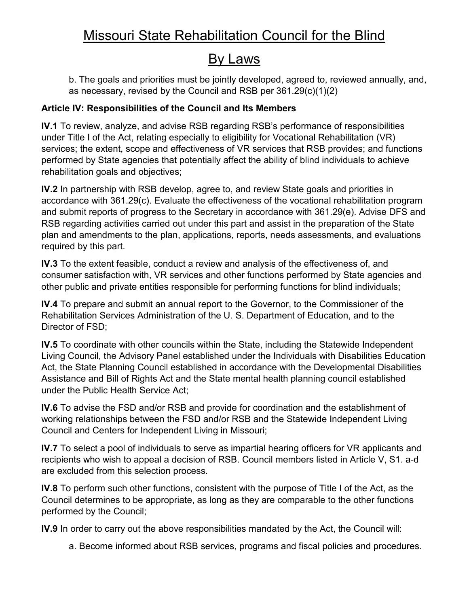## By Laws

b. The goals and priorities must be jointly developed, agreed to, reviewed annually, and, as necessary, revised by the Council and RSB per 361.29(c)(1)(2)

### **Article IV: Responsibilities of the Council and Its Members**

**IV.1** To review, analyze, and advise RSB regarding RSB's performance of responsibilities under Title I of the Act, relating especially to eligibility for Vocational Rehabilitation (VR) services; the extent, scope and effectiveness of VR services that RSB provides; and functions performed by State agencies that potentially affect the ability of blind individuals to achieve rehabilitation goals and objectives;

**IV.2** In partnership with RSB develop, agree to, and review State goals and priorities in accordance with 361.29(c). Evaluate the effectiveness of the vocational rehabilitation program and submit reports of progress to the Secretary in accordance with 361.29(e). Advise DFS and RSB regarding activities carried out under this part and assist in the preparation of the State plan and amendments to the plan, applications, reports, needs assessments, and evaluations required by this part.

**IV.3** To the extent feasible, conduct a review and analysis of the effectiveness of, and consumer satisfaction with, VR services and other functions performed by State agencies and other public and private entities responsible for performing functions for blind individuals;

**IV.4** To prepare and submit an annual report to the Governor, to the Commissioner of the Rehabilitation Services Administration of the U. S. Department of Education, and to the Director of FSD;

**IV.5** To coordinate with other councils within the State, including the Statewide Independent Living Council, the Advisory Panel established under the Individuals with Disabilities Education Act, the State Planning Council established in accordance with the Developmental Disabilities Assistance and Bill of Rights Act and the State mental health planning council established under the Public Health Service Act;

**IV.6** To advise the FSD and/or RSB and provide for coordination and the establishment of working relationships between the FSD and/or RSB and the Statewide Independent Living Council and Centers for Independent Living in Missouri;

**IV.7** To select a pool of individuals to serve as impartial hearing officers for VR applicants and recipients who wish to appeal a decision of RSB. Council members listed in Article V, S1. a-d are excluded from this selection process.

**IV.8** To perform such other functions, consistent with the purpose of Title I of the Act, as the Council determines to be appropriate, as long as they are comparable to the other functions performed by the Council;

**IV.9** In order to carry out the above responsibilities mandated by the Act, the Council will:

a. Become informed about RSB services, programs and fiscal policies and procedures.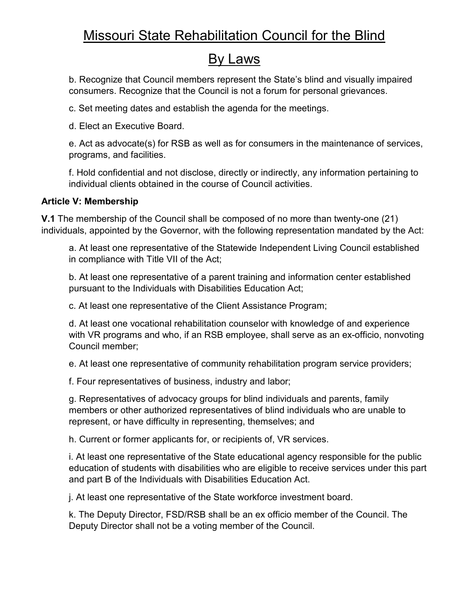### By Laws

b. Recognize that Council members represent the State's blind and visually impaired consumers. Recognize that the Council is not a forum for personal grievances.

c. Set meeting dates and establish the agenda for the meetings.

d. Elect an Executive Board.

e. Act as advocate(s) for RSB as well as for consumers in the maintenance of services, programs, and facilities.

f. Hold confidential and not disclose, directly or indirectly, any information pertaining to individual clients obtained in the course of Council activities.

### **Article V: Membership**

**V.1** The membership of the Council shall be composed of no more than twenty-one (21) individuals, appointed by the Governor, with the following representation mandated by the Act:

a. At least one representative of the Statewide Independent Living Council established in compliance with Title VII of the Act;

b. At least one representative of a parent training and information center established pursuant to the Individuals with Disabilities Education Act;

c. At least one representative of the Client Assistance Program;

d. At least one vocational rehabilitation counselor with knowledge of and experience with VR programs and who, if an RSB employee, shall serve as an ex-officio, nonvoting Council member;

e. At least one representative of community rehabilitation program service providers;

f. Four representatives of business, industry and labor;

g. Representatives of advocacy groups for blind individuals and parents, family members or other authorized representatives of blind individuals who are unable to represent, or have difficulty in representing, themselves; and

h. Current or former applicants for, or recipients of, VR services.

i. At least one representative of the State educational agency responsible for the public education of students with disabilities who are eligible to receive services under this part and part B of the Individuals with Disabilities Education Act.

j. At least one representative of the State workforce investment board.

k. The Deputy Director, FSD/RSB shall be an ex officio member of the Council. The Deputy Director shall not be a voting member of the Council.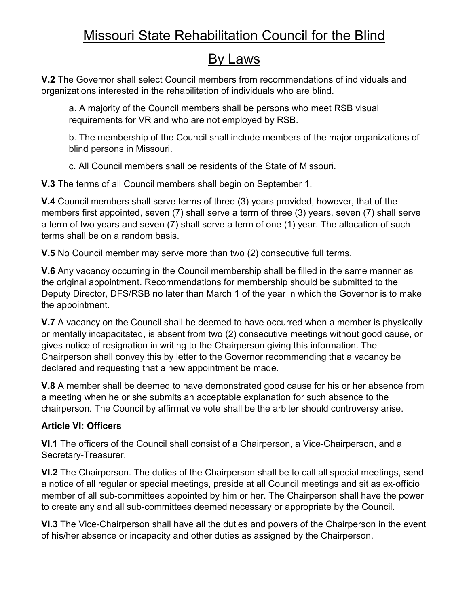## By Laws

**V.2** The Governor shall select Council members from recommendations of individuals and organizations interested in the rehabilitation of individuals who are blind.

a. A majority of the Council members shall be persons who meet RSB visual requirements for VR and who are not employed by RSB.

b. The membership of the Council shall include members of the major organizations of blind persons in Missouri.

c. All Council members shall be residents of the State of Missouri.

**V.3** The terms of all Council members shall begin on September 1.

**V.4** Council members shall serve terms of three (3) years provided, however, that of the members first appointed, seven (7) shall serve a term of three (3) years, seven (7) shall serve a term of two years and seven (7) shall serve a term of one (1) year. The allocation of such terms shall be on a random basis.

**V.5** No Council member may serve more than two (2) consecutive full terms.

**V.6** Any vacancy occurring in the Council membership shall be filled in the same manner as the original appointment. Recommendations for membership should be submitted to the Deputy Director, DFS/RSB no later than March 1 of the year in which the Governor is to make the appointment.

**V.7** A vacancy on the Council shall be deemed to have occurred when a member is physically or mentally incapacitated, is absent from two (2) consecutive meetings without good cause, or gives notice of resignation in writing to the Chairperson giving this information. The Chairperson shall convey this by letter to the Governor recommending that a vacancy be declared and requesting that a new appointment be made.

**V.8** A member shall be deemed to have demonstrated good cause for his or her absence from a meeting when he or she submits an acceptable explanation for such absence to the chairperson. The Council by affirmative vote shall be the arbiter should controversy arise.

### **Article VI: Officers**

**VI.1** The officers of the Council shall consist of a Chairperson, a Vice-Chairperson, and a Secretary-Treasurer.

**VI.2** The Chairperson. The duties of the Chairperson shall be to call all special meetings, send a notice of all regular or special meetings, preside at all Council meetings and sit as ex-officio member of all sub-committees appointed by him or her. The Chairperson shall have the power to create any and all sub-committees deemed necessary or appropriate by the Council.

**VI.3** The Vice-Chairperson shall have all the duties and powers of the Chairperson in the event of his/her absence or incapacity and other duties as assigned by the Chairperson.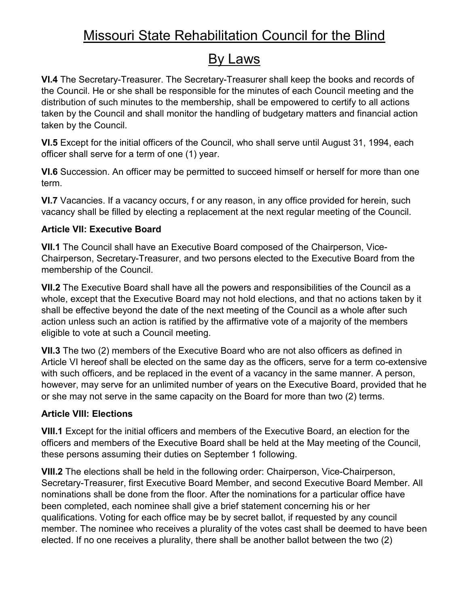## By Laws

**VI.4** The Secretary-Treasurer. The Secretary-Treasurer shall keep the books and records of the Council. He or she shall be responsible for the minutes of each Council meeting and the distribution of such minutes to the membership, shall be empowered to certify to all actions taken by the Council and shall monitor the handling of budgetary matters and financial action taken by the Council.

**VI.5** Except for the initial officers of the Council, who shall serve until August 31, 1994, each officer shall serve for a term of one (1) year.

**VI.6** Succession. An officer may be permitted to succeed himself or herself for more than one term.

**VI.7** Vacancies. If a vacancy occurs, f or any reason, in any office provided for herein, such vacancy shall be filled by electing a replacement at the next regular meeting of the Council.

### **Article VII: Executive Board**

**VII.1** The Council shall have an Executive Board composed of the Chairperson, Vice-Chairperson, Secretary-Treasurer, and two persons elected to the Executive Board from the membership of the Council.

**VII.2** The Executive Board shall have all the powers and responsibilities of the Council as a whole, except that the Executive Board may not hold elections, and that no actions taken by it shall be effective beyond the date of the next meeting of the Council as a whole after such action unless such an action is ratified by the affirmative vote of a majority of the members eligible to vote at such a Council meeting.

**VII.3** The two (2) members of the Executive Board who are not also officers as defined in Article VI hereof shall be elected on the same day as the officers, serve for a term co-extensive with such officers, and be replaced in the event of a vacancy in the same manner. A person, however, may serve for an unlimited number of years on the Executive Board, provided that he or she may not serve in the same capacity on the Board for more than two (2) terms.

### **Article VIII: Elections**

**VIII.1** Except for the initial officers and members of the Executive Board, an election for the officers and members of the Executive Board shall be held at the May meeting of the Council, these persons assuming their duties on September 1 following.

**VIII.2** The elections shall be held in the following order: Chairperson, Vice-Chairperson, Secretary-Treasurer, first Executive Board Member, and second Executive Board Member. All nominations shall be done from the floor. After the nominations for a particular office have been completed, each nominee shall give a brief statement concerning his or her qualifications. Voting for each office may be by secret ballot, if requested by any council member. The nominee who receives a plurality of the votes cast shall be deemed to have been elected. If no one receives a plurality, there shall be another ballot between the two (2)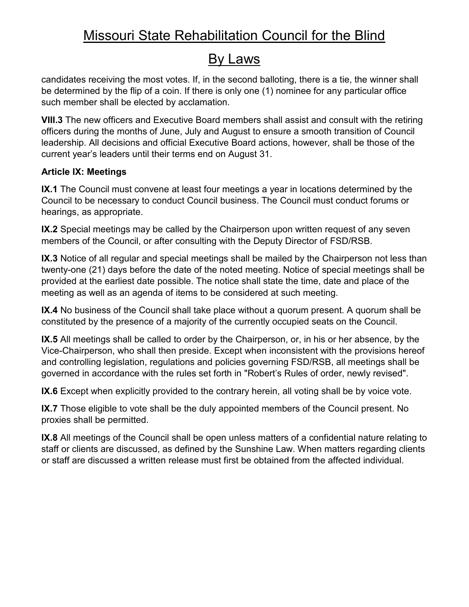## By Laws

candidates receiving the most votes. If, in the second balloting, there is a tie, the winner shall be determined by the flip of a coin. If there is only one (1) nominee for any particular office such member shall be elected by acclamation.

**VIII.3** The new officers and Executive Board members shall assist and consult with the retiring officers during the months of June, July and August to ensure a smooth transition of Council leadership. All decisions and official Executive Board actions, however, shall be those of the current year's leaders until their terms end on August 31.

### **Article IX: Meetings**

**IX.1** The Council must convene at least four meetings a year in locations determined by the Council to be necessary to conduct Council business. The Council must conduct forums or hearings, as appropriate.

**IX.2** Special meetings may be called by the Chairperson upon written request of any seven members of the Council, or after consulting with the Deputy Director of FSD/RSB.

**IX.3** Notice of all regular and special meetings shall be mailed by the Chairperson not less than twenty-one (21) days before the date of the noted meeting. Notice of special meetings shall be provided at the earliest date possible. The notice shall state the time, date and place of the meeting as well as an agenda of items to be considered at such meeting.

**IX.4** No business of the Council shall take place without a quorum present. A quorum shall be constituted by the presence of a majority of the currently occupied seats on the Council.

**IX.5** All meetings shall be called to order by the Chairperson, or, in his or her absence, by the Vice-Chairperson, who shall then preside. Except when inconsistent with the provisions hereof and controlling legislation, regulations and policies governing FSD/RSB, all meetings shall be governed in accordance with the rules set forth in "Robert's Rules of order, newly revised".

**IX.6** Except when explicitly provided to the contrary herein, all voting shall be by voice vote.

**IX.7** Those eligible to vote shall be the duly appointed members of the Council present. No proxies shall be permitted.

**IX.8** All meetings of the Council shall be open unless matters of a confidential nature relating to staff or clients are discussed, as defined by the Sunshine Law. When matters regarding clients or staff are discussed a written release must first be obtained from the affected individual.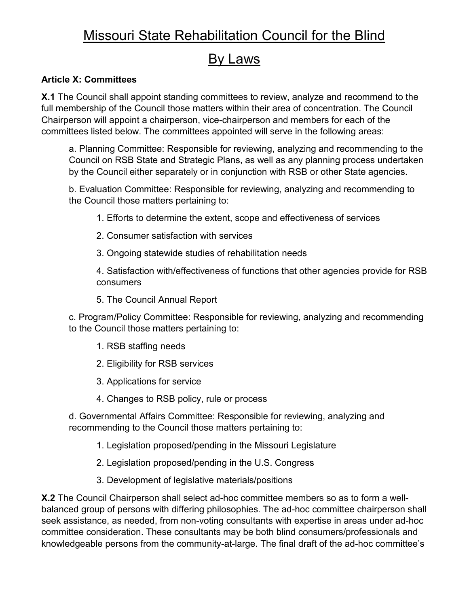## By Laws

### **Article X: Committees**

**X.1** The Council shall appoint standing committees to review, analyze and recommend to the full membership of the Council those matters within their area of concentration. The Council Chairperson will appoint a chairperson, vice-chairperson and members for each of the committees listed below. The committees appointed will serve in the following areas:

a. Planning Committee: Responsible for reviewing, analyzing and recommending to the Council on RSB State and Strategic Plans, as well as any planning process undertaken by the Council either separately or in conjunction with RSB or other State agencies.

b. Evaluation Committee: Responsible for reviewing, analyzing and recommending to the Council those matters pertaining to:

- 1. Efforts to determine the extent, scope and effectiveness of services
- 2. Consumer satisfaction with services
- 3. Ongoing statewide studies of rehabilitation needs

4. Satisfaction with/effectiveness of functions that other agencies provide for RSB consumers

5. The Council Annual Report

c. Program/Policy Committee: Responsible for reviewing, analyzing and recommending to the Council those matters pertaining to:

- 1. RSB staffing needs
- 2. Eligibility for RSB services
- 3. Applications for service
- 4. Changes to RSB policy, rule or process

d. Governmental Affairs Committee: Responsible for reviewing, analyzing and recommending to the Council those matters pertaining to:

- 1. Legislation proposed/pending in the Missouri Legislature
- 2. Legislation proposed/pending in the U.S. Congress
- 3. Development of legislative materials/positions

**X.2** The Council Chairperson shall select ad-hoc committee members so as to form a wellbalanced group of persons with differing philosophies. The ad-hoc committee chairperson shall seek assistance, as needed, from non-voting consultants with expertise in areas under ad-hoc committee consideration. These consultants may be both blind consumers/professionals and knowledgeable persons from the community-at-large. The final draft of the ad-hoc committee's